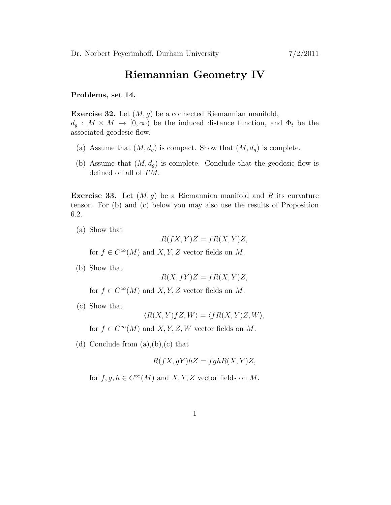## Riemannian Geometry IV

Problems, set 14.

**Exercise 32.** Let  $(M, g)$  be a connected Riemannian manifold,  $d_g: M \times M \to [0, \infty)$  be the induced distance function, and  $\Phi_t$  be the

- associated geodesic flow.
	- (a) Assume that  $(M, d_g)$  is compact. Show that  $(M, d_g)$  is complete.
	- (b) Assume that  $(M, d_g)$  is complete. Conclude that the geodesic flow is defined on all of TM.

**Exercise 33.** Let  $(M, g)$  be a Riemannian manifold and R its curvature tensor. For (b) and (c) below you may also use the results of Proposition 6.2.

(a) Show that

$$
R(fX,Y)Z = fR(X,Y)Z,
$$

for  $f \in C^{\infty}(M)$  and  $X, Y, Z$  vector fields on M.

(b) Show that

$$
R(X, fY)Z = fR(X, Y)Z,
$$

for  $f \in C^{\infty}(M)$  and  $X, Y, Z$  vector fields on M.

(c) Show that

$$
\langle R(X,Y)fZ,W\rangle = \langle fR(X,Y)Z,W\rangle,
$$

for  $f \in C^{\infty}(M)$  and  $X, Y, Z, W$  vector fields on M.

(d) Conclude from  $(a), (b), (c)$  that

$$
R(fX, gY)hZ = fghR(X, Y)Z,
$$

for  $f, g, h \in C^{\infty}(M)$  and  $X, Y, Z$  vector fields on M.